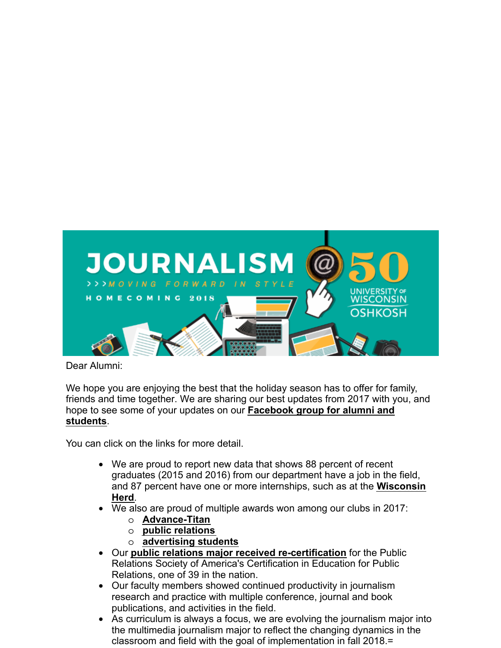

Dear Alumni:

We hope you are enjoying the best that the holiday season has to offer for family, friends and time together. We are sharing our best updates from 2017 with you, and [hope to see some of your updates on our](https://www.facebook.com/groups/1896461823922549/) **Facebook group for alumni and students**.

You can click on the links for more detail.

- We are proud to report new data that shows 88 percent of recent graduates (2015 and 2016) from our department have a job in the field, and 87 percent [have one or more internships, such as at the](https://uwoshjournalism.wordpress.com/2017/11/06/on-the-scene-with-interns-wisconsin-herd/) **Wisconsin Herd**.
- We also are proud of multiple awards won among our clubs in 2017:
	- o **[AdvanceTitan](https://uwoshjournalism.wordpress.com/2017/11/20/advance-titan-team-attends-college-media-convention-in-dallas/)**
	- o **public [relations](https://uwoshjournalism.wordpress.com/2017/10/19/uwo-prssa-wins-big-at-national-conference/)**
	- o **[advertising students](https://uwoshjournalism.wordpress.com/2017/05/02/uwo-ad-students-win-third-at-the-national-student-advertising-competition-for-district-8/)**
- Our **[public relations major received recertification](https://uwoshjournalism.wordpress.com/2017/11/22/public-relations-recertified/)** for the Public Relations Society of America's Certification in Education for Public Relations, one of 39 in the nation.
- Our faculty members showed continued productivity in journalism research and practice with multiple conference, journal and book publications, and activities in the field.
- As curriculum is always a focus, we are evolving the journalism major into the multimedia journalism major to reflect the changing dynamics in the classroom and field with the goal of implementation in fall 2018.=